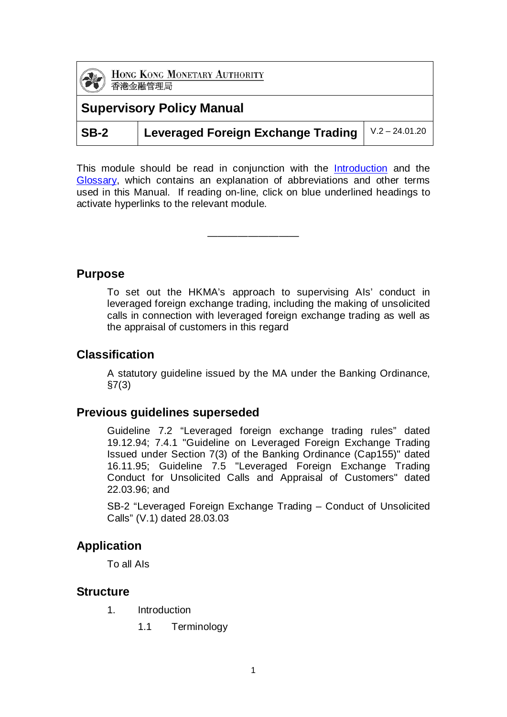| HONG KONG MONETARY AUTHORITY<br>(大學)<br>香港金融管理局 |                                           |                  |  |  |
|-------------------------------------------------|-------------------------------------------|------------------|--|--|
| <b>Supervisory Policy Manual</b>                |                                           |                  |  |  |
| <b>SB-2</b>                                     | <b>Leveraged Foreign Exchange Trading</b> | $V.2 - 24.01.20$ |  |  |

This module should be read in conjunction with the [Introduction](https://www.hkma.gov.hk/media/eng/doc/key-functions/banking-stability/supervisory-policy-manual/IN.pdf) and the [Glossary,](https://www.hkma.gov.hk/media/eng/doc/key-functions/banking-stability/supervisory-policy-manual/GL.pdf) which contains an explanation of abbreviations and other terms used in this Manual. If reading on-line, click on blue underlined headings to activate hyperlinks to the relevant module.

—————————————<br>————————————————————

**Purpose**

To set out the HKMA's approach to supervising AIs' conduct in leveraged foreign exchange trading, including the making of unsolicited calls in connection with leveraged foreign exchange trading as well as the appraisal of customers in this regard

#### **Classification**

A statutory guideline issued by the MA under the Banking Ordinance,  $§7(3)$ 

#### **Previous guidelines superseded**

Guideline 7.2 "Leveraged foreign exchange trading rules" dated 19.12.94; 7.4.1 "Guideline on Leveraged Foreign Exchange Trading Issued under Section 7(3) of the Banking Ordinance (Cap155)" dated 16.11.95; Guideline 7.5 "Leveraged Foreign Exchange Trading Conduct for Unsolicited Calls and Appraisal of Customers" dated 22.03.96; and

SB-2 "Leveraged Foreign Exchange Trading – Conduct of Unsolicited Calls" (V.1) dated 28.03.03

## **Application**

To all AIs

#### <span id="page-0-0"></span>**Structure**

- 1. Introduction
	- 1.1 Terminology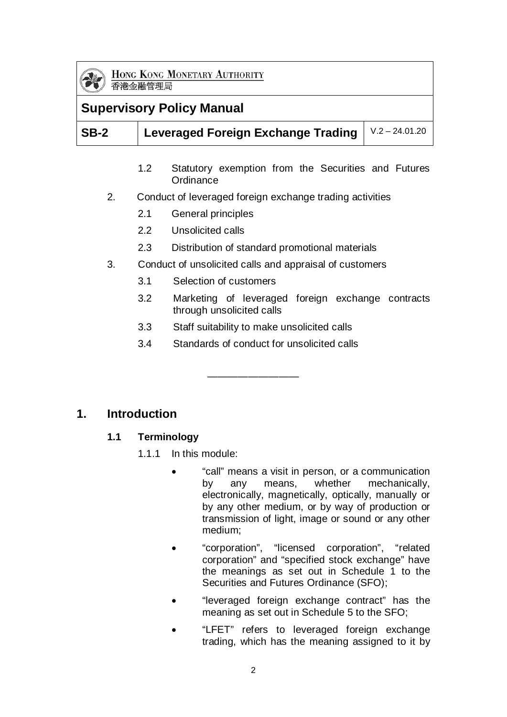

HONG KONG MONETARY AUTHORITY 香港金融管理局

## **Supervisory Policy Manual**

# **SB-2 Leveraged Foreign Exchange Trading**  $\sqrt{2} - 24.01.20$

- 1.2 Statutory exemption from the Securities and Futures **Ordinance**
- 2. Conduct of leveraged foreign exchange trading activities
	- 2.1 General principles
	- 2.2 Unsolicited calls
	- 2.3 Distribution of standard promotional materials
- 3. Conduct of unsolicited calls and appraisal of customers
	- 3.1 Selection of customers
	- 3.2 Marketing of leveraged foreign exchange contracts through unsolicited calls
	- 3.3 Staff suitability to make unsolicited calls
	- 3.4 Standards of conduct for unsolicited calls

————————————————————

## **1. Introduction**

#### **1.1 Terminology**

- 1.1.1 In this module:
	- "call" means a visit in person, or a communication by any means, whether mechanically, electronically, magnetically, optically, manually or by any other medium, or by way of production or transmission of light, image or sound or any other medium;
	- "corporation", "licensed corporation", "related corporation" and "specified stock exchange" have the meanings as set out in Schedule 1 to the Securities and Futures Ordinance (SFO);
	- "leveraged foreign exchange contract" has the meaning as set out in Schedule 5 to the SFO;
	- "LFET" refers to leveraged foreign exchange trading, which has the meaning assigned to it by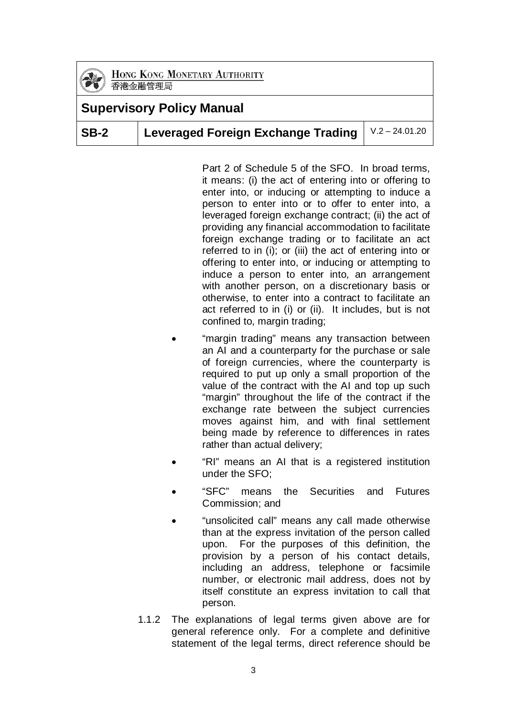

香港金融管理局

## **Supervisory Policy Manual**

## **SB-2 Leveraged Foreign Exchange Trading**  $\sqrt{0.2 - 24.01.20}$

Part 2 of Schedule 5 of the SFO. In broad terms, it means: (i) the act of entering into or offering to enter into, or inducing or attempting to induce a person to enter into or to offer to enter into, a leveraged foreign exchange contract; (ii) the act of providing any financial accommodation to facilitate foreign exchange trading or to facilitate an act referred to in (i); or (iii) the act of entering into or offering to enter into, or inducing or attempting to induce a person to enter into, an arrangement with another person, on a discretionary basis or otherwise, to enter into a contract to facilitate an act referred to in (i) or (ii). It includes, but is not confined to, margin trading;

- "margin trading" means any transaction between an AI and a counterparty for the purchase or sale of foreign currencies, where the counterparty is required to put up only a small proportion of the value of the contract with the AI and top up such "margin" throughout the life of the contract if the exchange rate between the subject currencies moves against him, and with final settlement being made by reference to differences in rates rather than actual delivery;
- "RI" means an AI that is a registered institution under the SFO;
- "SFC" means the Securities and Futures Commission; and
- "unsolicited call" means any call made otherwise than at the express invitation of the person called upon. For the purposes of this definition, the provision by a person of his contact details, including an address, telephone or facsimile number, or electronic mail address, does not by itself constitute an express invitation to call that person.
- 1.1.2 The explanations of legal terms given above are for general reference only. For a complete and definitive statement of the legal terms, direct reference should be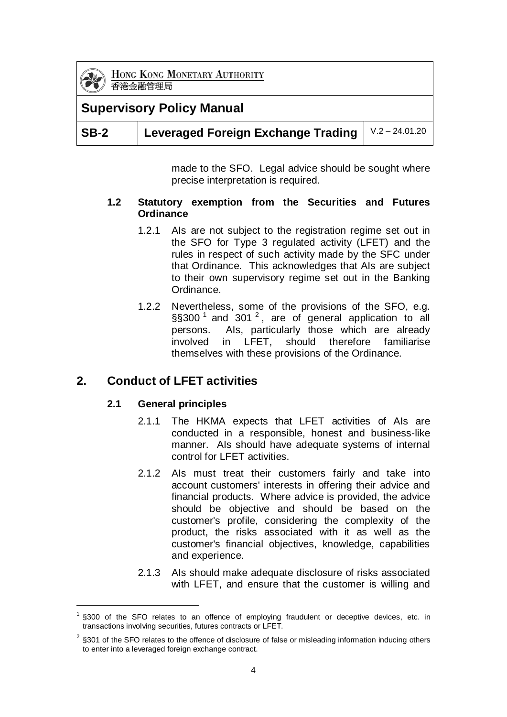

香港金融管理局

# **Supervisory Policy Manual**

**SB-2 Leveraged Foreign Exchange Trading**  $\sqrt{2} - 24.01.20$ 

made to the SFO. Legal advice should be sought where precise interpretation is required.

#### **1.2 Statutory exemption from the Securities and Futures Ordinance**

- 1.2.1 AIs are not subject to the registration regime set out in the SFO for Type 3 regulated activity (LFET) and the rules in respect of such activity made by the SFC under that Ordinance. This acknowledges that AIs are subject to their own supervisory regime set out in the Banking Ordinance.
- 1.2.2 Nevertheless, some of the provisions of the SFO, e.g.  $\S$ §300<sup>[1](#page-0-0)</sup> and 301<sup>[2](#page-3-0)</sup>, are of general application to all persons. AIs, particularly those which are already involved in LFET, should therefore familiarise themselves with these provisions of the Ordinance.

## **2. Conduct of LFET activities**

#### **2.1 General principles**

- 2.1.1 The HKMA expects that LFET activities of AIs are conducted in a responsible, honest and business-like manner. AIs should have adequate systems of internal control for LFET activities.
- 2.1.2 AIs must treat their customers fairly and take into account customers' interests in offering their advice and financial products. Where advice is provided, the advice should be objective and should be based on the customer's profile, considering the complexity of the product, the risks associated with it as well as the customer's financial objectives, knowledge, capabilities and experience.
- 2.1.3 AIs should make adequate disclosure of risks associated with LFET, and ensure that the customer is willing and

<sup>§300</sup> of the SFO relates to an offence of employing fraudulent or deceptive devices, etc. in transactions involving securities, futures contracts or LFET.

<span id="page-3-1"></span><span id="page-3-0"></span> $2$  §301 of the SFO relates to the offence of disclosure of false or misleading information inducing others to enter into a leveraged foreign exchange contract.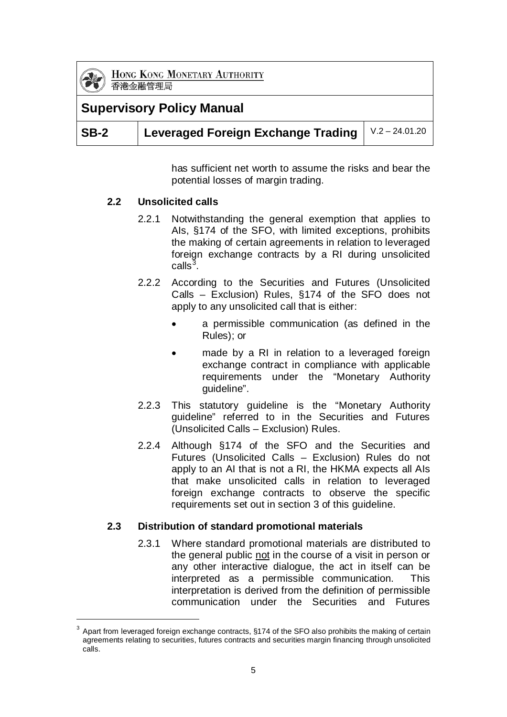

香港金融管理局

# **Supervisory Policy Manual**

# **SB-2 Leveraged Foreign Exchange Trading**  $\sqrt{2} - 24.01.20$

has sufficient net worth to assume the risks and bear the potential losses of margin trading.

#### **2.2 Unsolicited calls**

- 2.2.1 Notwithstanding the general exemption that applies to AIs, §174 of the SFO, with limited exceptions, prohibits the making of certain agreements in relation to leveraged foreign exchange contracts by a RI during unsolicited calls $^3$  $^3$ .
- 2.2.2 According to the Securities and Futures (Unsolicited Calls – Exclusion) Rules, §174 of the SFO does not apply to any unsolicited call that is either:
	- a permissible communication (as defined in the Rules); or
	- made by a RI in relation to a leveraged foreign exchange contract in compliance with applicable requirements under the "Monetary Authority guideline".
- 2.2.3 This statutory guideline is the "Monetary Authority guideline" referred to in the Securities and Futures (Unsolicited Calls – Exclusion) Rules.
- 2.2.4 Although §174 of the SFO and the Securities and Futures (Unsolicited Calls – Exclusion) Rules do not apply to an AI that is not a RI, the HKMA expects all AIs that make unsolicited calls in relation to leveraged foreign exchange contracts to observe the specific requirements set out in section 3 of this guideline.

#### **2.3 Distribution of standard promotional materials**

2.3.1 Where standard promotional materials are distributed to the general public not in the course of a visit in person or any other interactive dialogue, the act in itself can be interpreted as a permissible communication. This interpretation is derived from the definition of permissible communication under the Securities and Futures

<span id="page-4-0"></span>Apart from leveraged foreign exchange contracts, §174 of the SFO also prohibits the making of certain agreements relating to securities, futures contracts and securities margin financing through unsolicited calls.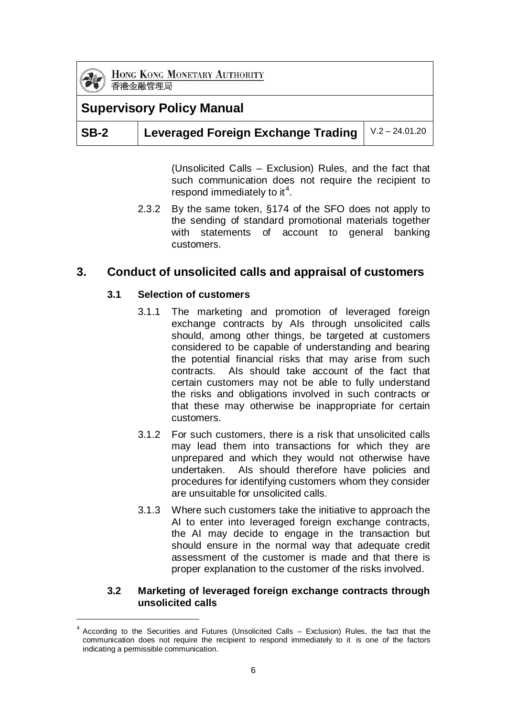

HONG KONG MONETARY AUTHORITY 香港金融管理局

## **Supervisory Policy Manual**

## **SB-2 Leveraged Foreign Exchange Trading**  $\sqrt{2} - 24.01.20$

(Unsolicited Calls – Exclusion) Rules, and the fact that such communication does not require the recipient to respond immediately to it<sup>[4](#page-4-0)</sup>.

2.3.2 By the same token, §174 of the SFO does not apply to the sending of standard promotional materials together with statements of account to general banking customers.

#### **3. Conduct of unsolicited calls and appraisal of customers**

#### **3.1 Selection of customers**

- 3.1.1 The marketing and promotion of leveraged foreign exchange contracts by AIs through unsolicited calls should, among other things, be targeted at customers considered to be capable of understanding and bearing the potential financial risks that may arise from such contracts. AIs should take account of the fact that certain customers may not be able to fully understand the risks and obligations involved in such contracts or that these may otherwise be inappropriate for certain customers.
- 3.1.2 For such customers, there is a risk that unsolicited calls may lead them into transactions for which they are unprepared and which they would not otherwise have undertaken. AIs should therefore have policies and procedures for identifying customers whom they consider are unsuitable for unsolicited calls.
- 3.1.3 Where such customers take the initiative to approach the AI to enter into leveraged foreign exchange contracts, the AI may decide to engage in the transaction but should ensure in the normal way that adequate credit assessment of the customer is made and that there is proper explanation to the customer of the risks involved.

#### **3.2 Marketing of leveraged foreign exchange contracts through unsolicited calls**

 $4$  According to the Securities and Futures (Unsolicited Calls – Exclusion) Rules, the fact that the communication does not require the recipient to respond immediately to it is one of the factors indicating a permissible communication.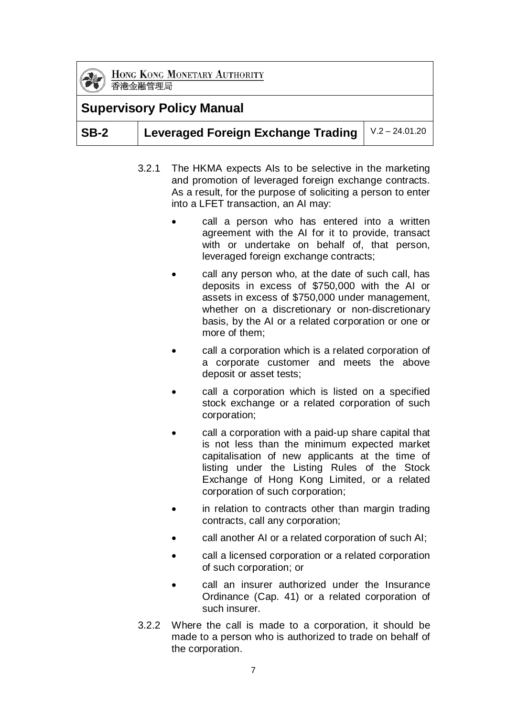

香港金融管理局

## **Supervisory Policy Manual**

# **SB-2 Leveraged Foreign Exchange Trading**  $\sqrt{0.2 - 24.01.20}$

- 3.2.1 The HKMA expects AIs to be selective in the marketing and promotion of leveraged foreign exchange contracts. As a result, for the purpose of soliciting a person to enter into a LFET transaction, an AI may:
	- call a person who has entered into a written agreement with the AI for it to provide, transact with or undertake on behalf of, that person, leveraged foreign exchange contracts;
	- call any person who, at the date of such call, has deposits in excess of \$750,000 with the AI or assets in excess of \$750,000 under management, whether on a discretionary or non-discretionary basis, by the AI or a related corporation or one or more of them;
	- call a corporation which is a related corporation of a corporate customer and meets the above deposit or asset tests;
	- call a corporation which is listed on a specified stock exchange or a related corporation of such corporation;
	- call a corporation with a paid-up share capital that is not less than the minimum expected market capitalisation of new applicants at the time of listing under the Listing Rules of the Stock Exchange of Hong Kong Limited, or a related corporation of such corporation;
	- in relation to contracts other than margin trading contracts, call any corporation;
	- call another AI or a related corporation of such AI;
	- call a licensed corporation or a related corporation of such corporation; or
	- call an insurer authorized under the Insurance Ordinance (Cap. 41) or a related corporation of such insurer.
- 3.2.2 Where the call is made to a corporation, it should be made to a person who is authorized to trade on behalf of the corporation.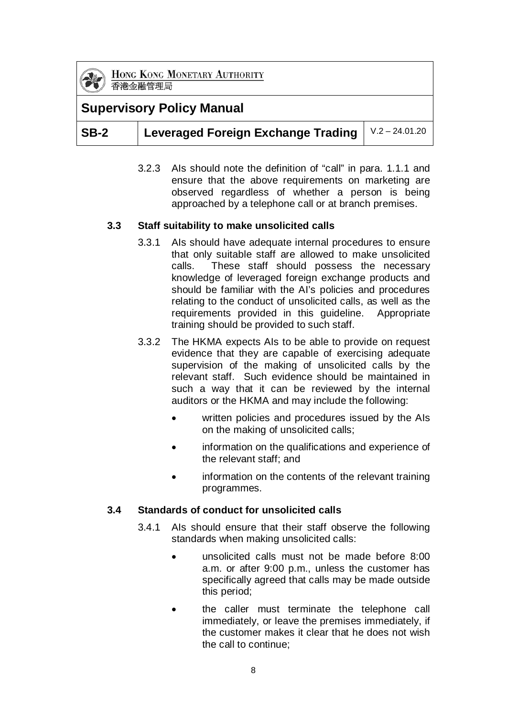

香港金融管理局

# **Supervisory Policy Manual**

# **SB-2 Leveraged Foreign Exchange Trading**  $V \cdot 2 - 24.01.20$

3.2.3 AIs should note the definition of "call" in para. 1.1.1 and ensure that the above requirements on marketing are observed regardless of whether a person is being approached by a telephone call or at branch premises.

#### **3.3 Staff suitability to make unsolicited calls**

- 3.3.1 AIs should have adequate internal procedures to ensure that only suitable staff are allowed to make unsolicited calls. These staff should possess the necessary knowledge of leveraged foreign exchange products and should be familiar with the AI's policies and procedures relating to the conduct of unsolicited calls, as well as the requirements provided in this guideline. Appropriate training should be provided to such staff.
- 3.3.2 The HKMA expects AIs to be able to provide on request evidence that they are capable of exercising adequate supervision of the making of unsolicited calls by the relevant staff. Such evidence should be maintained in such a way that it can be reviewed by the internal auditors or the HKMA and may include the following:
	- written policies and procedures issued by the AIs on the making of unsolicited calls;
	- information on the qualifications and experience of the relevant staff; and
	- information on the contents of the relevant training programmes.

#### **3.4 Standards of conduct for unsolicited calls**

- 3.4.1 AIs should ensure that their staff observe the following standards when making unsolicited calls:
	- unsolicited calls must not be made before 8:00 a.m. or after 9:00 p.m., unless the customer has specifically agreed that calls may be made outside this period;
	- the caller must terminate the telephone call immediately, or leave the premises immediately, if the customer makes it clear that he does not wish the call to continue;